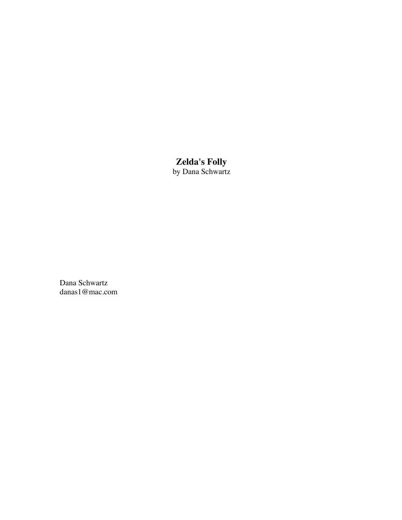# **Zelda's Folly**

by Dana Schwartz

Dana Schwartz danas1@mac.com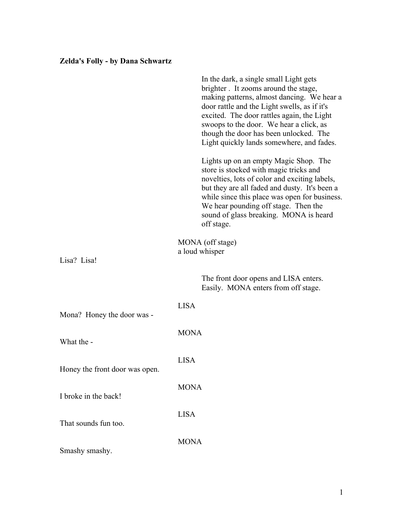# **Zelda's Folly - by Dana Schwartz**

|                                | In the dark, a single small Light gets<br>brighter. It zooms around the stage,<br>making patterns, almost dancing. We hear a<br>door rattle and the Light swells, as if it's<br>excited. The door rattles again, the Light<br>swoops to the door. We hear a click, as<br>though the door has been unlocked. The<br>Light quickly lands somewhere, and fades. |  |
|--------------------------------|--------------------------------------------------------------------------------------------------------------------------------------------------------------------------------------------------------------------------------------------------------------------------------------------------------------------------------------------------------------|--|
|                                | Lights up on an empty Magic Shop. The<br>store is stocked with magic tricks and<br>novelties, lots of color and exciting labels,<br>but they are all faded and dusty. It's been a<br>while since this place was open for business.<br>We hear pounding off stage. Then the<br>sound of glass breaking. MONA is heard<br>off stage.                           |  |
|                                | MONA (off stage)<br>a loud whisper                                                                                                                                                                                                                                                                                                                           |  |
| Lisa? Lisa!                    |                                                                                                                                                                                                                                                                                                                                                              |  |
|                                | The front door opens and LISA enters.<br>Easily. MONA enters from off stage.                                                                                                                                                                                                                                                                                 |  |
| Mona? Honey the door was -     | <b>LISA</b>                                                                                                                                                                                                                                                                                                                                                  |  |
| What the -                     | <b>MONA</b>                                                                                                                                                                                                                                                                                                                                                  |  |
| Honey the front door was open. | <b>LISA</b>                                                                                                                                                                                                                                                                                                                                                  |  |
| I broke in the back!           | <b>MONA</b>                                                                                                                                                                                                                                                                                                                                                  |  |
| That sounds fun too.           | <b>LISA</b>                                                                                                                                                                                                                                                                                                                                                  |  |
| Smashy smashy.                 | <b>MONA</b>                                                                                                                                                                                                                                                                                                                                                  |  |
|                                |                                                                                                                                                                                                                                                                                                                                                              |  |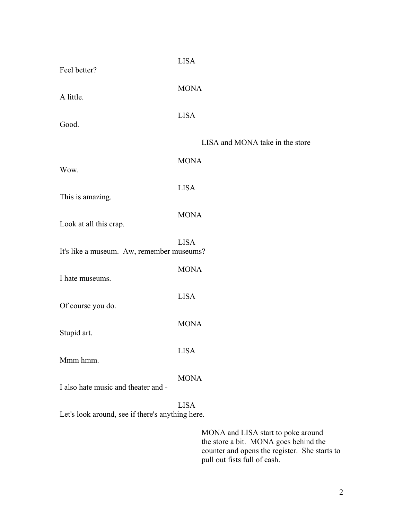| Feel better?                                     | <b>LISA</b>                        |
|--------------------------------------------------|------------------------------------|
| A little.                                        | <b>MONA</b>                        |
| Good.                                            | <b>LISA</b>                        |
|                                                  | LISA and MONA take in the store    |
| Wow.                                             | <b>MONA</b>                        |
| This is amazing.                                 | <b>LISA</b>                        |
| Look at all this crap.                           | <b>MONA</b>                        |
| It's like a museum. Aw, remember museums?        | <b>LISA</b>                        |
| I hate museums.                                  | <b>MONA</b>                        |
| Of course you do.                                | <b>LISA</b>                        |
| Stupid art.                                      | <b>MONA</b>                        |
| Mmm hmm.                                         | <b>LISA</b>                        |
| I also hate music and theater and -              | <b>MONA</b>                        |
| Let's look around, see if there's anything here. | <b>LISA</b>                        |
|                                                  | MONA and LISA start to poke around |

the store a bit. MONA goes behind the counter and opens the register. She starts to pull out fists full of cash.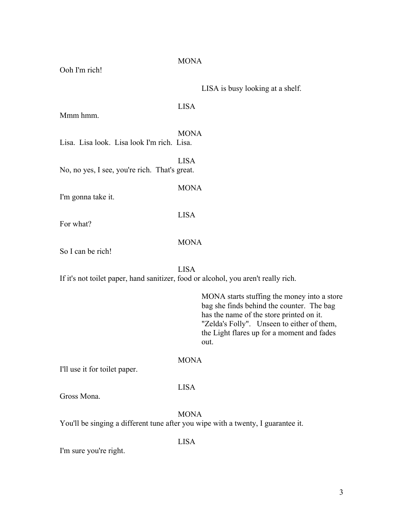| Ooh I'm rich!                                 | <b>MONA</b>                                                                                                                                                                                                                              |
|-----------------------------------------------|------------------------------------------------------------------------------------------------------------------------------------------------------------------------------------------------------------------------------------------|
|                                               | LISA is busy looking at a shelf.                                                                                                                                                                                                         |
| Mmm hmm.                                      | <b>LISA</b>                                                                                                                                                                                                                              |
| Lisa. Lisa look. Lisa look I'm rich. Lisa.    | <b>MONA</b>                                                                                                                                                                                                                              |
| No, no yes, I see, you're rich. That's great. | <b>LISA</b>                                                                                                                                                                                                                              |
| I'm gonna take it.                            | <b>MONA</b>                                                                                                                                                                                                                              |
| For what?                                     | <b>LISA</b>                                                                                                                                                                                                                              |
| So I can be rich!                             | <b>MONA</b>                                                                                                                                                                                                                              |
|                                               | <b>LISA</b><br>If it's not toilet paper, hand sanitizer, food or alcohol, you aren't really rich.                                                                                                                                        |
|                                               | MONA starts stuffing the money into a store<br>bag she finds behind the counter. The bag<br>has the name of the store printed on it.<br>"Zelda's Folly". Unseen to either of them,<br>the Light flares up for a moment and fades<br>out. |
| I'll use it for toilet paper.                 | <b>MONA</b>                                                                                                                                                                                                                              |
| Gross Mona.                                   | <b>LISA</b>                                                                                                                                                                                                                              |
|                                               | <b>MONA</b><br>You'll be singing a different tune after you wipe with a twenty, I guarantee it.                                                                                                                                          |
| I'm sure you're right.                        | <b>LISA</b>                                                                                                                                                                                                                              |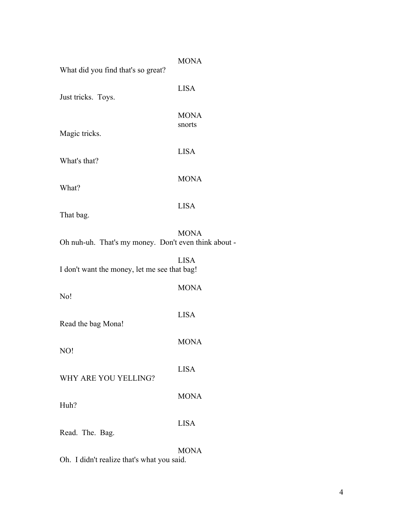| What did you find that's so great?                                        | <b>MONA</b>           |
|---------------------------------------------------------------------------|-----------------------|
| Just tricks. Toys.                                                        | <b>LISA</b>           |
|                                                                           | <b>MONA</b><br>snorts |
| Magic tricks.                                                             |                       |
| What's that?                                                              | <b>LISA</b>           |
| What?                                                                     | <b>MONA</b>           |
| That bag.                                                                 | <b>LISA</b>           |
| Oh nuh-uh. That's my money. Don't even think                              | <b>MONA</b>           |
| I don't want the money, let me see that bag!                              | <b>LISA</b>           |
| No!                                                                       | <b>MONA</b>           |
| Read the bag Mona!                                                        | <b>LISA</b>           |
| NO!                                                                       | <b>MONA</b>           |
| WHY ARE YOU YELLING?                                                      | <b>LISA</b>           |
| Huh?                                                                      | <b>MONA</b>           |
| Read. The. Bag.                                                           | <b>LISA</b>           |
| $\bigcap_{i=1}^{n}$ T $i+1$ $\bigcup_{i=1}^{n}$ $i+1$ $\bigcup_{i=1}^{n}$ | <b>MONA</b>           |

about -

Oh. I didn't realize that's what you said.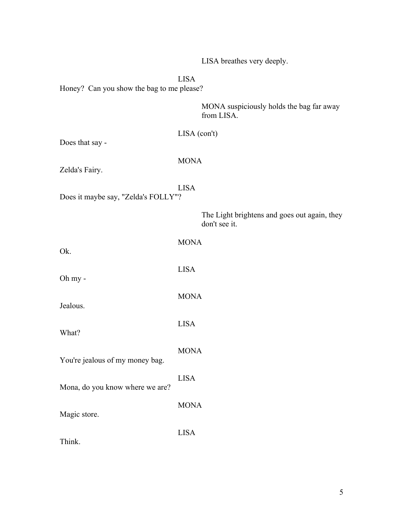LISA breathes very deeply.

LISA

Honey? Can you show the bag to me please?

MONA suspiciously holds the bag far away from LISA.

Does that say -

## MONA

Zelda's Fairy.

LISA Does it maybe say, "Zelda's FOLLY"?

> The Light brightens and goes out again, they don't see it.

| Ok.                             | <b>MONA</b> |
|---------------------------------|-------------|
| Oh my -                         | <b>LISA</b> |
| Jealous.                        | <b>MONA</b> |
| What?                           | <b>LISA</b> |
| You're jealous of my money bag. | <b>MONA</b> |
|                                 | <b>LISA</b> |
| Mona, do you know where we are? | <b>MONA</b> |
| Magic store.                    | <b>LISA</b> |
| Think.                          |             |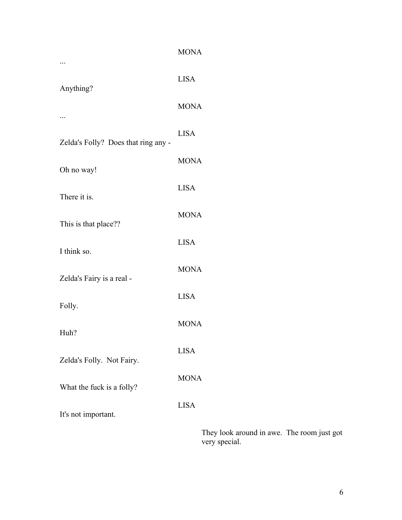|                                     | <b>MONA</b>              |
|-------------------------------------|--------------------------|
| Anything?                           | <b>LISA</b>              |
|                                     | <b>MONA</b>              |
| Zelda's Folly? Does that ring any - | <b>LISA</b>              |
| Oh no way!                          | <b>MONA</b>              |
| There it is.                        | <b>LISA</b>              |
|                                     | <b>MONA</b>              |
| This is that place??<br>I think so. | <b>LISA</b>              |
|                                     | <b>MONA</b>              |
| Zelda's Fairy is a real -           | <b>LISA</b>              |
| Folly.                              | <b>MONA</b>              |
| Huh?                                | <b>LISA</b>              |
| Zelda's Folly. Not Fairy.           | <b>MONA</b>              |
| What the fuck is a folly?           |                          |
| It's not important.                 | <b>LISA</b>              |
|                                     | They look around in awe. |

The room just got very special.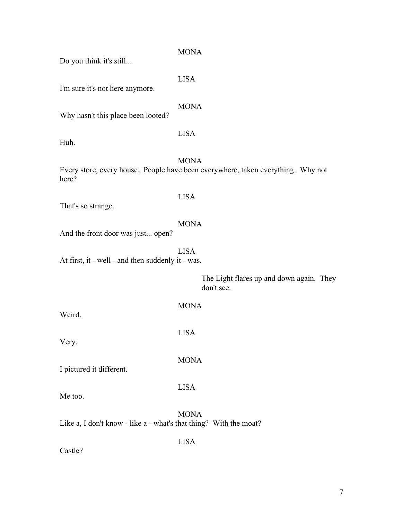| 10at? |  |  |
|-------|--|--|
|       |  |  |
|       |  |  |

LISA MONA Every store, every house. People have been everywhere, taken everything. Why not here? LISA That's so strange. MONA And the front door was just... open? LISA At first, it - well - and then suddenly it - was. The Light flares up and down again. They don't see. MONA Weird. LISA Very. MONA I pictured it different.

LISA

LISA

Me too.

Castle?

**MONA** Like  $a$ , I don't know - like  $a$  - what's that thing? With the m

I'm sure it's not here anymore.

Do you think it's still...

MONA

LISA

MONA

Why hasn't this place been looted?

Huh.

7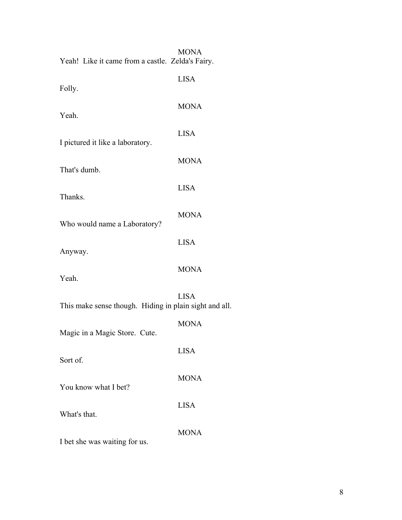| Yeah! Like it came from a castle. Zelda's Fairy.       | <b>MONA</b> |
|--------------------------------------------------------|-------------|
| Folly.                                                 | <b>LISA</b> |
| Yeah.                                                  | <b>MONA</b> |
| I pictured it like a laboratory.                       | <b>LISA</b> |
|                                                        | <b>MONA</b> |
| That's dumb.                                           | <b>LISA</b> |
| Thanks.                                                | <b>MONA</b> |
| Who would name a Laboratory?                           |             |
| Anyway.                                                | <b>LISA</b> |
| Yeah.                                                  | <b>MONA</b> |
| This make sense though. Hiding in plain sight and all. | <b>LISA</b> |
| Magic in a Magic Store. Cute.                          | <b>MONA</b> |
| Sort of.                                               | <b>LISA</b> |
| You know what I bet?                                   | <b>MONA</b> |
|                                                        | <b>LISA</b> |
| What's that.                                           | <b>MONA</b> |
| I bet she was waiting for us.                          |             |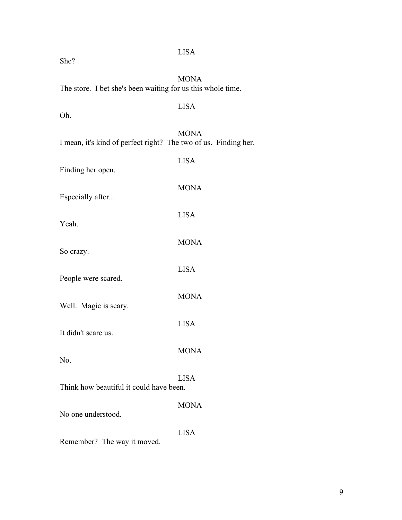| The store. I bet she's been waiting for us this whole time.     | <b>MONA</b> |
|-----------------------------------------------------------------|-------------|
| Oh.                                                             | <b>LISA</b> |
| I mean, it's kind of perfect right? The two of us. Finding her. | <b>MONA</b> |
| Finding her open.                                               | <b>LISA</b> |
| Especially after                                                | <b>MONA</b> |
| Yeah.                                                           | <b>LISA</b> |
| So crazy.                                                       | <b>MONA</b> |
| People were scared.                                             | <b>LISA</b> |
| Well. Magic is scary.                                           | <b>MONA</b> |
| It didn't scare us.                                             | <b>LISA</b> |
|                                                                 | <b>MONA</b> |
| No.<br>Think how beautiful it could have been.                  | <b>LISA</b> |
|                                                                 | <b>MONA</b> |
| No one understood.                                              | <b>LISA</b> |
| Remember? The way it moved.                                     |             |

She?

# LISA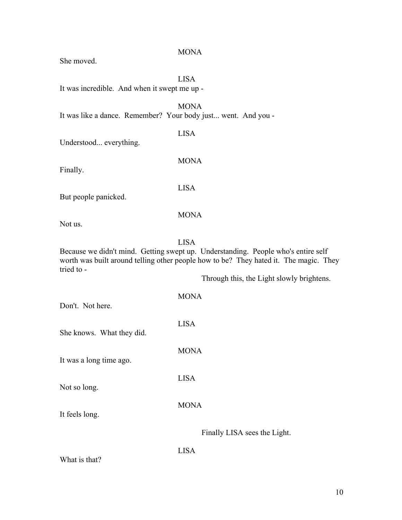She moved. LISA It was incredible. And when it swept me up - MONA It was like a dance. Remember? Your body just... went. And you - LISA Understood... everything. MONA Finally. LISA But people panicked. MONA Not us. LISA Because we didn't mind. Getting swept up. Understanding. People who's entire self worth was built around telling other people how to be? They hated it. The magic. They tried to - Through this, the Light slowly brightens. MONA Don't. Not here. LISA She knows. What they did. **MONA** It was a long time ago. LISA Not so long. MONA It feels long. Finally LISA sees the Light. LISA

**MONA** 

What is that?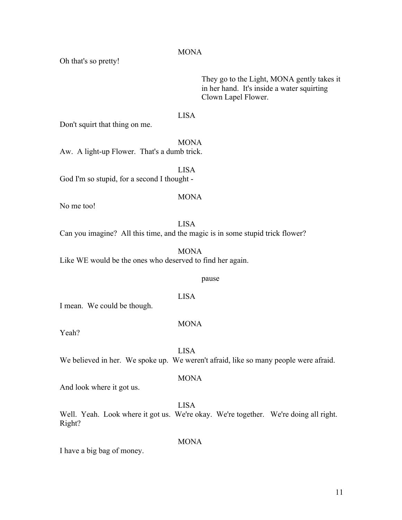11

### **MONA**

Oh that's so pretty!

They go to the Light, MONA gently takes it in her hand. It's inside a water squirting Clown Lapel Flower.

## LISA

Don't squirt that thing on me.

MONA Aw. A light-up Flower. That's a dumb trick.

LISA God I'm so stupid, for a second I thought -

### MONA

No me too!

LISA

Can you imagine? All this time, and the magic is in some stupid trick flower?

MONA Like WE would be the ones who deserved to find her again.

#### pause

I mean. We could be though.

#### MONA

LISA

Yeah?

LISA

We believed in her. We spoke up. We weren't afraid, like so many people were afraid.

#### MONA

And look where it got us.

LISA Well. Yeah. Look where it got us. We're okay. We're together. We're doing all right. Right?

**MONA** 

I have a big bag of money.